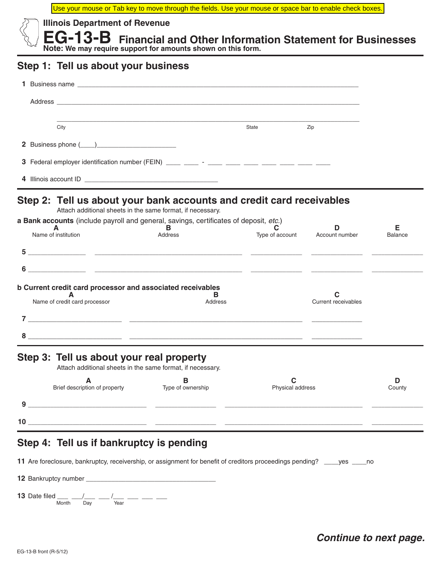Use your mouse or Tab key to move through the fields. Use your mouse or space bar to enable check boxes.



**Illinois Department of Revenue**

 **EG-13-B Financial and Other Information Statement for Businesses Note: We may require support for amounts shown on this form.**

## **Step 1: Tell us about your business**

| Address and the contract of the contract of the contract of the contract of the contract of the contract of the contract of the contract of the contract of the contract of the contract of the contract of the contract of th |                                                                 |                       |                                |                |
|--------------------------------------------------------------------------------------------------------------------------------------------------------------------------------------------------------------------------------|-----------------------------------------------------------------|-----------------------|--------------------------------|----------------|
| City                                                                                                                                                                                                                           |                                                                 | State                 | Zip                            |                |
|                                                                                                                                                                                                                                |                                                                 |                       |                                |                |
|                                                                                                                                                                                                                                |                                                                 |                       |                                |                |
|                                                                                                                                                                                                                                |                                                                 |                       |                                |                |
| Step 2: Tell us about your bank accounts and credit card receivables<br>a Bank accounts (include payroll and general, savings, certificates of deposit, etc.)<br>A                                                             | Attach additional sheets in the same format, if necessary.<br>в |                       | D.                             | Е              |
| Name of institution                                                                                                                                                                                                            | Address                                                         |                       | Type of account Account number | <b>Balance</b> |
|                                                                                                                                                                                                                                |                                                                 |                       |                                |                |
|                                                                                                                                                                                                                                |                                                                 |                       |                                |                |
| b Current credit card processor and associated receivables<br>Name of credit card processor                                                                                                                                    | в<br>Address                                                    |                       | <b>Current receivables</b>     |                |
|                                                                                                                                                                                                                                |                                                                 |                       |                                |                |
|                                                                                                                                                                                                                                |                                                                 |                       |                                |                |
| Step 3: Tell us about your real property                                                                                                                                                                                       | Attach additional sheets in the same format, if necessary.      |                       |                                |                |
| A<br>Brief description of property                                                                                                                                                                                             | в<br>Type of ownership                                          | C<br>Physical address |                                | D<br>County    |
|                                                                                                                                                                                                                                |                                                                 |                       |                                |                |
| $10$ $\overline{\phantom{a}}$                                                                                                                                                                                                  |                                                                 |                       |                                |                |
|                                                                                                                                                                                                                                |                                                                 |                       |                                |                |
| Step 4: Tell us if bankruptcy is pending                                                                                                                                                                                       |                                                                 |                       |                                |                |
| 11 Are foreclosure, bankruptcy, receivership, or assignment for benefit of creditors proceedings pending? ____yes ____no                                                                                                       |                                                                 |                       |                                |                |
|                                                                                                                                                                                                                                |                                                                 |                       |                                |                |

**13** Date filed \_\_\_ \_\_/\_\_\_ \_\_/\_\_\_ \_\_\_ \_\_\_ \_\_\_ Month Day Year